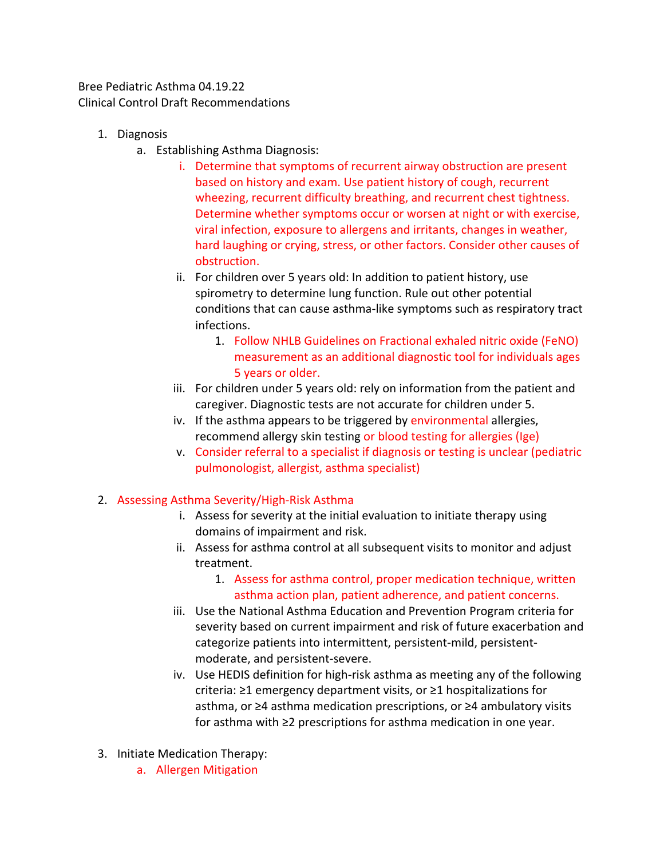Bree Pediatric Asthma 04.19.22 Clinical Control Draft Recommendations

- 1. Diagnosis
	- a. Establishing Asthma Diagnosis:
		- i. Determine that symptoms of recurrent airway obstruction are present based on history and exam. Use patient history of cough, recurrent wheezing, recurrent difficulty breathing, and recurrent chest tightness. Determine whether symptoms occur or worsen at night or with exercise, viral infection, exposure to allergens and irritants, changes in weather, hard laughing or crying, stress, or other factors. Consider other causes of obstruction.
		- ii. For children over 5 years old: In addition to patient history, use spirometry to determine lung function. Rule out other potential conditions that can cause asthma-like symptoms such as respiratory tract infections.
			- 1. Follow NHLB Guidelines on Fractional exhaled nitric oxide (FeNO) measurement as an additional diagnostic tool for individuals ages 5 years or older.
		- iii. For children under 5 years old: rely on information from the patient and caregiver. Diagnostic tests are not accurate for children under 5.
		- iv. If the asthma appears to be triggered by environmental allergies, recommend allergy skin testing or blood testing for allergies (Ige)
		- v. Consider referral to a specialist if diagnosis or testing is unclear (pediatric pulmonologist, allergist, asthma specialist)

## 2. Assessing Asthma Severity/High-Risk Asthma

- i. Assess for severity at the initial evaluation to initiate therapy using domains of impairment and risk.
- ii. Assess for asthma control at all subsequent visits to monitor and adjust treatment.
	- 1. Assess for asthma control, proper medication technique, written asthma action plan, patient adherence, and patient concerns.
- iii. Use the National Asthma Education and Prevention Program criteria for severity based on current impairment and risk of future exacerbation and categorize patients into intermittent, persistent-mild, persistentmoderate, and persistent-severe.
- iv. Use HEDIS definition for high-risk asthma as meeting any of the following criteria: ≥1 emergency department visits, or ≥1 hospitalizations for asthma, or ≥4 asthma medication prescriptions, or ≥4 ambulatory visits for asthma with ≥2 prescriptions for asthma medication in one year.
- 3. Initiate Medication Therapy:
	- a. Allergen Mitigation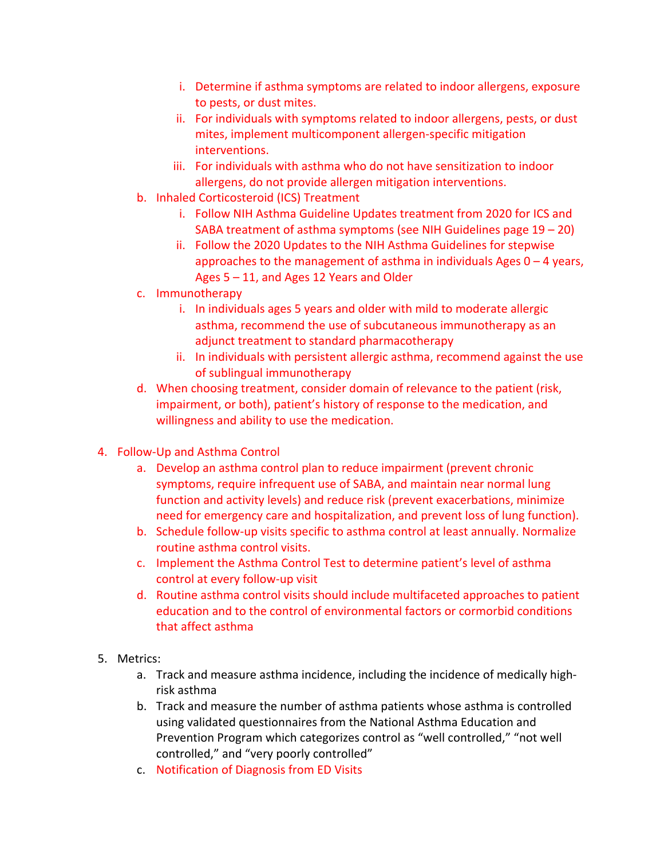- i. Determine if asthma symptoms are related to indoor allergens, exposure to pests, or dust mites.
- ii. For individuals with symptoms related to indoor allergens, pests, or dust mites, implement multicomponent allergen-specific mitigation interventions.
- iii. For individuals with asthma who do not have sensitization to indoor allergens, do not provide allergen mitigation interventions.
- b. Inhaled Corticosteroid (ICS) Treatment
	- i. Follow NIH Asthma Guideline Updates treatment from 2020 for ICS and SABA treatment of asthma symptoms (see NIH Guidelines page 19 – 20)
	- ii. Follow the 2020 Updates to the NIH Asthma Guidelines for stepwise approaches to the management of asthma in individuals Ages  $0 - 4$  years, Ages 5 – 11, and Ages 12 Years and Older
- c. Immunotherapy
	- i. In individuals ages 5 years and older with mild to moderate allergic asthma, recommend the use of subcutaneous immunotherapy as an adjunct treatment to standard pharmacotherapy
	- ii. In individuals with persistent allergic asthma, recommend against the use of sublingual immunotherapy
- d. When choosing treatment, consider domain of relevance to the patient (risk, impairment, or both), patient's history of response to the medication, and willingness and ability to use the medication.
- 4. Follow-Up and Asthma Control
	- a. Develop an asthma control plan to reduce impairment (prevent chronic symptoms, require infrequent use of SABA, and maintain near normal lung function and activity levels) and reduce risk (prevent exacerbations, minimize need for emergency care and hospitalization, and prevent loss of lung function).
	- b. Schedule follow-up visits specific to asthma control at least annually. Normalize routine asthma control visits.
	- c. Implement the Asthma Control Test to determine patient's level of asthma control at every follow-up visit
	- d. Routine asthma control visits should include multifaceted approaches to patient education and to the control of environmental factors or cormorbid conditions that affect asthma
- 5. Metrics:
	- a. Track and measure asthma incidence, including the incidence of medically highrisk asthma
	- b. Track and measure the number of asthma patients whose asthma is controlled using validated questionnaires from the National Asthma Education and Prevention Program which categorizes control as "well controlled," "not well controlled," and "very poorly controlled"
	- c. Notification of Diagnosis from ED Visits